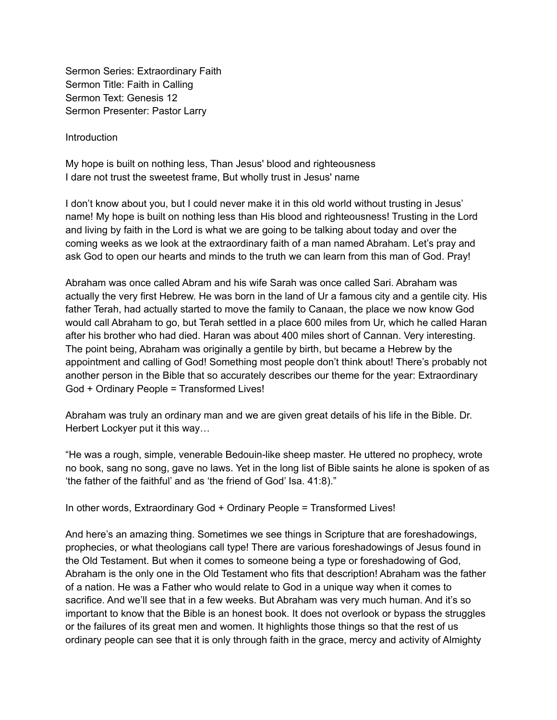Sermon Series: Extraordinary Faith Sermon Title: Faith in Calling Sermon Text: Genesis 12 Sermon Presenter: Pastor Larry

Introduction

My hope is built on nothing less, Than Jesus' blood and righteousness I dare not trust the sweetest frame, But wholly trust in Jesus' name

I don't know about you, but I could never make it in this old world without trusting in Jesus' name! My hope is built on nothing less than His blood and righteousness! Trusting in the Lord and living by faith in the Lord is what we are going to be talking about today and over the coming weeks as we look at the extraordinary faith of a man named Abraham. Let's pray and ask God to open our hearts and minds to the truth we can learn from this man of God. Pray!

Abraham was once called Abram and his wife Sarah was once called Sari. Abraham was actually the very first Hebrew. He was born in the land of Ur a famous city and a gentile city. His father Terah, had actually started to move the family to Canaan, the place we now know God would call Abraham to go, but Terah settled in a place 600 miles from Ur, which he called Haran after his brother who had died. Haran was about 400 miles short of Cannan. Very interesting. The point being, Abraham was originally a gentile by birth, but became a Hebrew by the appointment and calling of God! Something most people don't think about! There's probably not another person in the Bible that so accurately describes our theme for the year: Extraordinary God + Ordinary People = Transformed Lives!

Abraham was truly an ordinary man and we are given great details of his life in the Bible. Dr. Herbert Lockyer put it this way…

"He was a rough, simple, venerable Bedouin-like sheep master. He uttered no prophecy, wrote no book, sang no song, gave no laws. Yet in the long list of Bible saints he alone is spoken of as 'the father of the faithful' and as 'the friend of God' Isa. 41:8)."

In other words, Extraordinary God + Ordinary People = Transformed Lives!

And here's an amazing thing. Sometimes we see things in Scripture that are foreshadowings, prophecies, or what theologians call type! There are various foreshadowings of Jesus found in the Old Testament. But when it comes to someone being a type or foreshadowing of God, Abraham is the only one in the Old Testament who fits that description! Abraham was the father of a nation. He was a Father who would relate to God in a unique way when it comes to sacrifice. And we'll see that in a few weeks. But Abraham was very much human. And it's so important to know that the Bible is an honest book. It does not overlook or bypass the struggles or the failures of its great men and women. It highlights those things so that the rest of us ordinary people can see that it is only through faith in the grace, mercy and activity of Almighty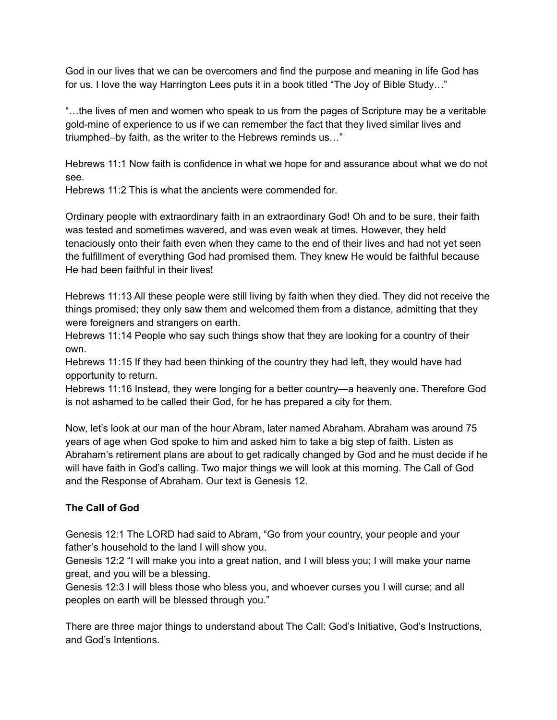God in our lives that we can be overcomers and find the purpose and meaning in life God has for us. I love the way Harrington Lees puts it in a book titled "The Joy of Bible Study…"

"…the lives of men and women who speak to us from the pages of Scripture may be a veritable gold-mine of experience to us if we can remember the fact that they lived similar lives and triumphed–by faith, as the writer to the Hebrews reminds us…"

Hebrews 11:1 Now faith is confidence in what we hope for and assurance about what we do not see.

Hebrews 11:2 This is what the ancients were commended for

Ordinary people with extraordinary faith in an extraordinary God! Oh and to be sure, their faith was tested and sometimes wavered, and was even weak at times. However, they held tenaciously onto their faith even when they came to the end of their lives and had not yet seen the fulfillment of everything God had promised them. They knew He would be faithful because He had been faithful in their lives!

Hebrews 11:13 All these people were still living by faith when they died. They did not receive the things promised; they only saw them and welcomed them from a distance, admitting that they were foreigners and strangers on earth.

Hebrews 11:14 People who say such things show that they are looking for a country of their own.

Hebrews 11:15 If they had been thinking of the country they had left, they would have had opportunity to return.

Hebrews 11:16 Instead, they were longing for a better country—a heavenly one. Therefore God is not ashamed to be called their God, for he has prepared a city for them.

Now, let's look at our man of the hour Abram, later named Abraham. Abraham was around 75 years of age when God spoke to him and asked him to take a big step of faith. Listen as Abraham's retirement plans are about to get radically changed by God and he must decide if he will have faith in God's calling. Two major things we will look at this morning. The Call of God and the Response of Abraham. Our text is Genesis 12.

# **The Call of God**

Genesis 12:1 The LORD had said to Abram, "Go from your country, your people and your father's household to the land I will show you.

Genesis 12:2 "I will make you into a great nation, and I will bless you; I will make your name great, and you will be a blessing.

Genesis 12:3 I will bless those who bless you, and whoever curses you I will curse; and all peoples on earth will be blessed through you."

There are three major things to understand about The Call: God's Initiative, God's Instructions, and God's Intentions.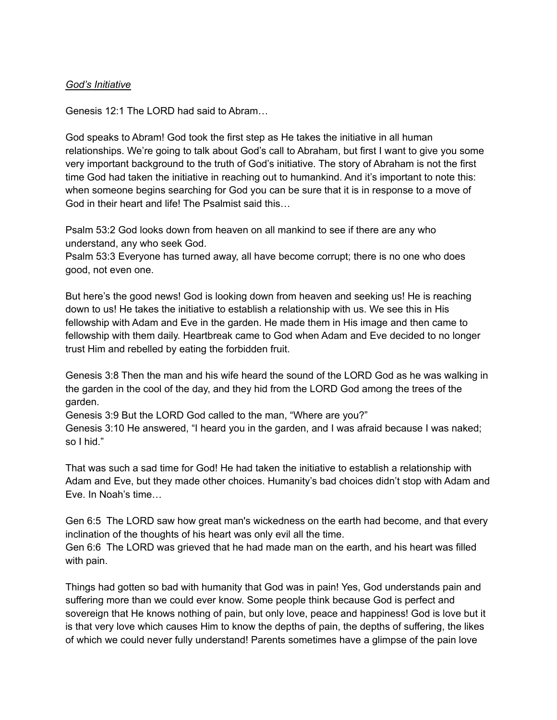#### *God's Initiative*

Genesis 12:1 The LORD had said to Abram…

God speaks to Abram! God took the first step as He takes the initiative in all human relationships. We're going to talk about God's call to Abraham, but first I want to give you some very important background to the truth of God's initiative. The story of Abraham is not the first time God had taken the initiative in reaching out to humankind. And it's important to note this: when someone begins searching for God you can be sure that it is in response to a move of God in their heart and life! The Psalmist said this…

Psalm 53:2 God looks down from heaven on all mankind to see if there are any who understand, any who seek God.

Psalm 53:3 Everyone has turned away, all have become corrupt; there is no one who does good, not even one.

But here's the good news! God is looking down from heaven and seeking us! He is reaching down to us! He takes the initiative to establish a relationship with us. We see this in His fellowship with Adam and Eve in the garden. He made them in His image and then came to fellowship with them daily. Heartbreak came to God when Adam and Eve decided to no longer trust Him and rebelled by eating the forbidden fruit.

Genesis 3:8 Then the man and his wife heard the sound of the LORD God as he was walking in the garden in the cool of the day, and they hid from the LORD God among the trees of the garden.

Genesis 3:9 But the LORD God called to the man, "Where are you?"

Genesis 3:10 He answered, "I heard you in the garden, and I was afraid because I was naked; so I hid."

That was such a sad time for God! He had taken the initiative to establish a relationship with Adam and Eve, but they made other choices. Humanity's bad choices didn't stop with Adam and Eve. In Noah's time…

Gen 6:5 The LORD saw how great man's wickedness on the earth had become, and that every inclination of the thoughts of his heart was only evil all the time.

Gen 6:6 The LORD was grieved that he had made man on the earth, and his heart was filled with pain.

Things had gotten so bad with humanity that God was in pain! Yes, God understands pain and suffering more than we could ever know. Some people think because God is perfect and sovereign that He knows nothing of pain, but only love, peace and happiness! God is love but it is that very love which causes Him to know the depths of pain, the depths of suffering, the likes of which we could never fully understand! Parents sometimes have a glimpse of the pain love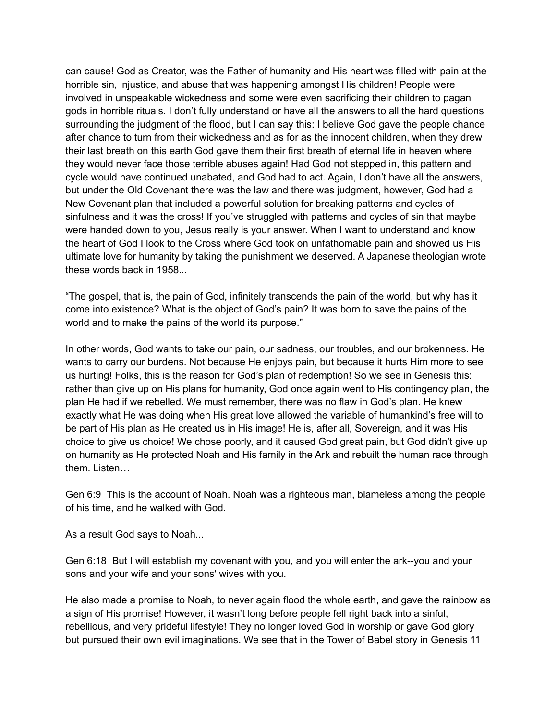can cause! God as Creator, was the Father of humanity and His heart was filled with pain at the horrible sin, injustice, and abuse that was happening amongst His children! People were involved in unspeakable wickedness and some were even sacrificing their children to pagan gods in horrible rituals. I don't fully understand or have all the answers to all the hard questions surrounding the judgment of the flood, but I can say this: I believe God gave the people chance after chance to turn from their wickedness and as for as the innocent children, when they drew their last breath on this earth God gave them their first breath of eternal life in heaven where they would never face those terrible abuses again! Had God not stepped in, this pattern and cycle would have continued unabated, and God had to act. Again, I don't have all the answers, but under the Old Covenant there was the law and there was judgment, however, God had a New Covenant plan that included a powerful solution for breaking patterns and cycles of sinfulness and it was the cross! If you've struggled with patterns and cycles of sin that maybe were handed down to you, Jesus really is your answer. When I want to understand and know the heart of God I look to the Cross where God took on unfathomable pain and showed us His ultimate love for humanity by taking the punishment we deserved. A Japanese theologian wrote these words back in 1958...

"The gospel, that is, the pain of God, infinitely transcends the pain of the world, but why has it come into existence? What is the object of God's pain? It was born to save the pains of the world and to make the pains of the world its purpose."

In other words, God wants to take our pain, our sadness, our troubles, and our brokenness. He wants to carry our burdens. Not because He enjoys pain, but because it hurts Him more to see us hurting! Folks, this is the reason for God's plan of redemption! So we see in Genesis this: rather than give up on His plans for humanity, God once again went to His contingency plan, the plan He had if we rebelled. We must remember, there was no flaw in God's plan. He knew exactly what He was doing when His great love allowed the variable of humankind's free will to be part of His plan as He created us in His image! He is, after all, Sovereign, and it was His choice to give us choice! We chose poorly, and it caused God great pain, but God didn't give up on humanity as He protected Noah and His family in the Ark and rebuilt the human race through them. Listen…

Gen 6:9 This is the account of Noah. Noah was a righteous man, blameless among the people of his time, and he walked with God.

As a result God says to Noah...

Gen 6:18 But I will establish my covenant with you, and you will enter the ark--you and your sons and your wife and your sons' wives with you.

He also made a promise to Noah, to never again flood the whole earth, and gave the rainbow as a sign of His promise! However, it wasn't long before people fell right back into a sinful, rebellious, and very prideful lifestyle! They no longer loved God in worship or gave God glory but pursued their own evil imaginations. We see that in the Tower of Babel story in Genesis 11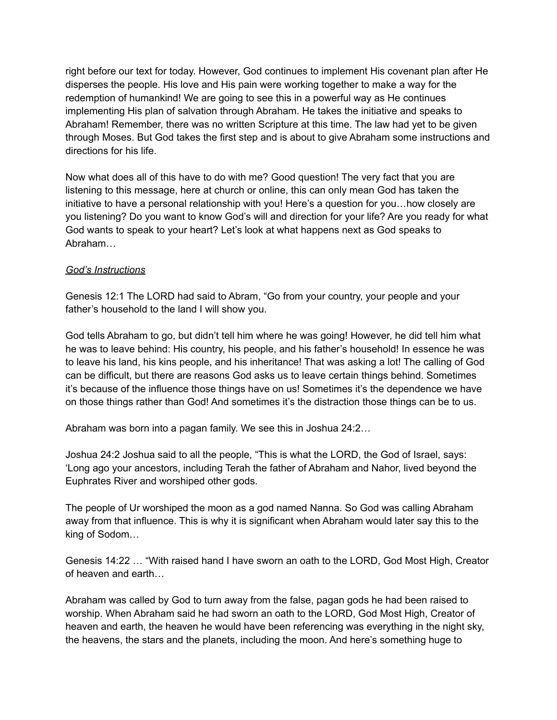right before our text for today. However, God continues to implement His covenant plan after He disperses the people. His love and His pain were working together to make a way for the redemption of humankind! We are going to see this in a powerful way as He continues implementing His plan of salvation through Abraham. He takes the initiative and speaks to Abraham! Remember, there was no written Scripture at this time. The law had yet to be given through Moses. But God takes the first step and is about to give Abraham some instructions and directions for his life.

Now what does all of this have to do with me? Good question! The very fact that you are listening to this message, here at church or online, this can only mean God has taken the initiative to have a personal relationship with you! Here's a question for you…how closely are you listening? Do you want to know God's will and direction for your life? Are you ready for what God wants to speak to your heart? Let's look at what happens next as God speaks to Abraham…

### *God's Instructions*

Genesis 12:1 The LORD had said to Abram, "Go from your country, your people and your father's household to the land I will show you.

God tells Abraham to go, but didn't tell him where he was going! However, he did tell him what he was to leave behind: His country, his people, and his father's household! In essence he was to leave his land, his kins people, and his inheritance! That was asking a lot! The calling of God can be difficult, but there are reasons God asks us to leave certain things behind. Sometimes it's because of the influence those things have on us! Sometimes it's the dependence we have on those things rather than God! And sometimes it's the distraction those things can be to us.

Abraham was born into a pagan family. We see this in Joshua 24:2…

Joshua 24:2 Joshua said to all the people, "This is what the LORD, the God of Israel, says: 'Long ago your ancestors, including Terah the father of Abraham and Nahor, lived beyond the Euphrates River and worshiped other gods.

The people of Ur worshiped the moon as a god named Nanna. So God was calling Abraham away from that influence. This is why it is significant when Abraham would later say this to the king of Sodom…

Genesis 14:22 … "With raised hand I have sworn an oath to the LORD, God Most High, Creator of heaven and earth…

Abraham was called by God to turn away from the false, pagan gods he had been raised to worship. When Abraham said he had sworn an oath to the LORD, God Most High, Creator of heaven and earth, the heaven he would have been referencing was everything in the night sky, the heavens, the stars and the planets, including the moon. And here's something huge to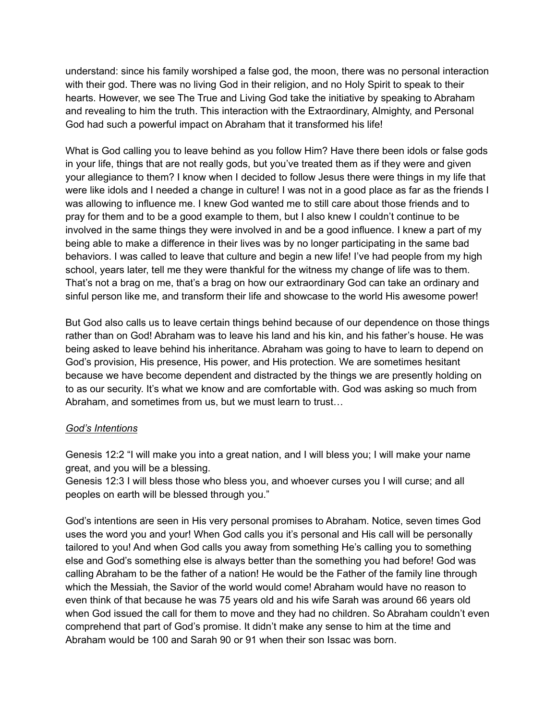understand: since his family worshiped a false god, the moon, there was no personal interaction with their god. There was no living God in their religion, and no Holy Spirit to speak to their hearts. However, we see The True and Living God take the initiative by speaking to Abraham and revealing to him the truth. This interaction with the Extraordinary, Almighty, and Personal God had such a powerful impact on Abraham that it transformed his life!

What is God calling you to leave behind as you follow Him? Have there been idols or false gods in your life, things that are not really gods, but you've treated them as if they were and given your allegiance to them? I know when I decided to follow Jesus there were things in my life that were like idols and I needed a change in culture! I was not in a good place as far as the friends I was allowing to influence me. I knew God wanted me to still care about those friends and to pray for them and to be a good example to them, but I also knew I couldn't continue to be involved in the same things they were involved in and be a good influence. I knew a part of my being able to make a difference in their lives was by no longer participating in the same bad behaviors. I was called to leave that culture and begin a new life! I've had people from my high school, years later, tell me they were thankful for the witness my change of life was to them. That's not a brag on me, that's a brag on how our extraordinary God can take an ordinary and sinful person like me, and transform their life and showcase to the world His awesome power!

But God also calls us to leave certain things behind because of our dependence on those things rather than on God! Abraham was to leave his land and his kin, and his father's house. He was being asked to leave behind his inheritance. Abraham was going to have to learn to depend on God's provision, His presence, His power, and His protection. We are sometimes hesitant because we have become dependent and distracted by the things we are presently holding on to as our security. It's what we know and are comfortable with. God was asking so much from Abraham, and sometimes from us, but we must learn to trust…

#### *God's Intentions*

Genesis 12:2 "I will make you into a great nation, and I will bless you; I will make your name great, and you will be a blessing.

Genesis 12:3 I will bless those who bless you, and whoever curses you I will curse; and all peoples on earth will be blessed through you."

God's intentions are seen in His very personal promises to Abraham. Notice, seven times God uses the word you and your! When God calls you it's personal and His call will be personally tailored to you! And when God calls you away from something He's calling you to something else and God's something else is always better than the something you had before! God was calling Abraham to be the father of a nation! He would be the Father of the family line through which the Messiah, the Savior of the world would come! Abraham would have no reason to even think of that because he was 75 years old and his wife Sarah was around 66 years old when God issued the call for them to move and they had no children. So Abraham couldn't even comprehend that part of God's promise. It didn't make any sense to him at the time and Abraham would be 100 and Sarah 90 or 91 when their son Issac was born.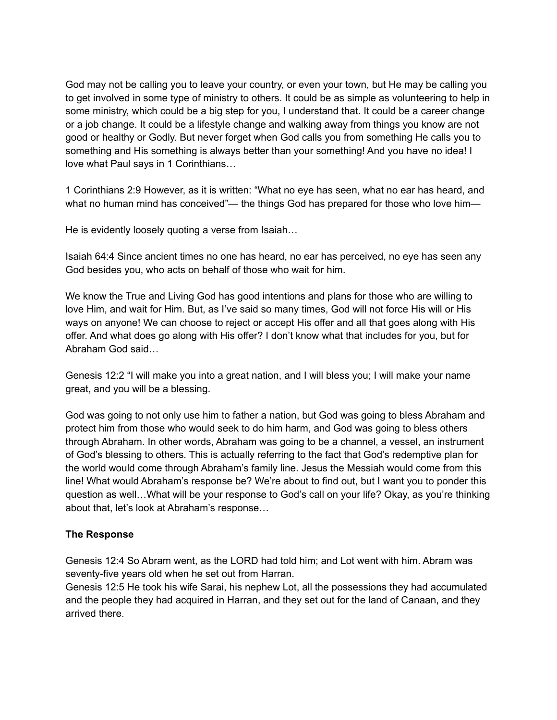God may not be calling you to leave your country, or even your town, but He may be calling you to get involved in some type of ministry to others. It could be as simple as volunteering to help in some ministry, which could be a big step for you, I understand that. It could be a career change or a job change. It could be a lifestyle change and walking away from things you know are not good or healthy or Godly. But never forget when God calls you from something He calls you to something and His something is always better than your something! And you have no idea! I love what Paul says in 1 Corinthians…

1 Corinthians 2:9 However, as it is written: "What no eye has seen, what no ear has heard, and what no human mind has conceived"— the things God has prepared for those who love him—

He is evidently loosely quoting a verse from Isaiah…

Isaiah 64:4 Since ancient times no one has heard, no ear has perceived, no eye has seen any God besides you, who acts on behalf of those who wait for him.

We know the True and Living God has good intentions and plans for those who are willing to love Him, and wait for Him. But, as I've said so many times, God will not force His will or His ways on anyone! We can choose to reject or accept His offer and all that goes along with His offer. And what does go along with His offer? I don't know what that includes for you, but for Abraham God said…

Genesis 12:2 "I will make you into a great nation, and I will bless you; I will make your name great, and you will be a blessing.

God was going to not only use him to father a nation, but God was going to bless Abraham and protect him from those who would seek to do him harm, and God was going to bless others through Abraham. In other words, Abraham was going to be a channel, a vessel, an instrument of God's blessing to others. This is actually referring to the fact that God's redemptive plan for the world would come through Abraham's family line. Jesus the Messiah would come from this line! What would Abraham's response be? We're about to find out, but I want you to ponder this question as well…What will be your response to God's call on your life? Okay, as you're thinking about that, let's look at Abraham's response…

## **The Response**

Genesis 12:4 So Abram went, as the LORD had told him; and Lot went with him. Abram was seventy-five years old when he set out from Harran.

Genesis 12:5 He took his wife Sarai, his nephew Lot, all the possessions they had accumulated and the people they had acquired in Harran, and they set out for the land of Canaan, and they arrived there.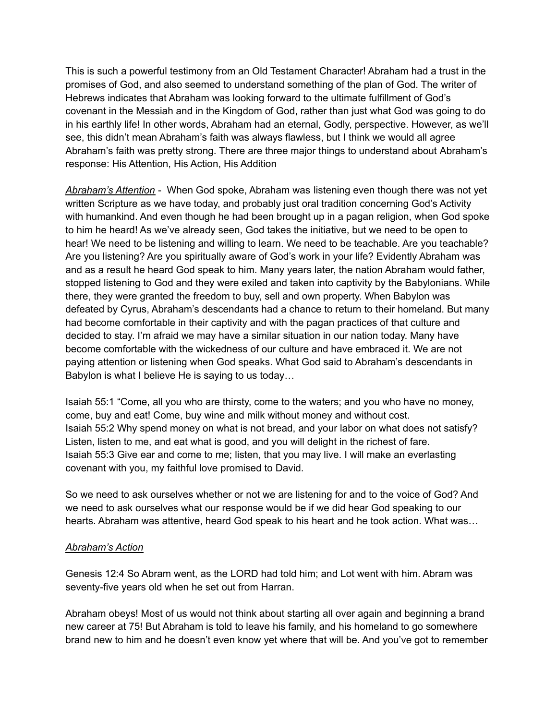This is such a powerful testimony from an Old Testament Character! Abraham had a trust in the promises of God, and also seemed to understand something of the plan of God. The writer of Hebrews indicates that Abraham was looking forward to the ultimate fulfillment of God's covenant in the Messiah and in the Kingdom of God, rather than just what God was going to do in his earthly life! In other words, Abraham had an eternal, Godly, perspective. However, as we'll see, this didn't mean Abraham's faith was always flawless, but I think we would all agree Abraham's faith was pretty strong. There are three major things to understand about Abraham's response: His Attention, His Action, His Addition

*Abraham's Attention* - When God spoke, Abraham was listening even though there was not yet written Scripture as we have today, and probably just oral tradition concerning God's Activity with humankind. And even though he had been brought up in a pagan religion, when God spoke to him he heard! As we've already seen, God takes the initiative, but we need to be open to hear! We need to be listening and willing to learn. We need to be teachable. Are you teachable? Are you listening? Are you spiritually aware of God's work in your life? Evidently Abraham was and as a result he heard God speak to him. Many years later, the nation Abraham would father, stopped listening to God and they were exiled and taken into captivity by the Babylonians. While there, they were granted the freedom to buy, sell and own property. When Babylon was defeated by Cyrus, Abraham's descendants had a chance to return to their homeland. But many had become comfortable in their captivity and with the pagan practices of that culture and decided to stay. I'm afraid we may have a similar situation in our nation today. Many have become comfortable with the wickedness of our culture and have embraced it. We are not paying attention or listening when God speaks. What God said to Abraham's descendants in Babylon is what I believe He is saying to us today…

Isaiah 55:1 "Come, all you who are thirsty, come to the waters; and you who have no money, come, buy and eat! Come, buy wine and milk without money and without cost. Isaiah 55:2 Why spend money on what is not bread, and your labor on what does not satisfy? Listen, listen to me, and eat what is good, and you will delight in the richest of fare. Isaiah 55:3 Give ear and come to me; listen, that you may live. I will make an everlasting covenant with you, my faithful love promised to David.

So we need to ask ourselves whether or not we are listening for and to the voice of God? And we need to ask ourselves what our response would be if we did hear God speaking to our hearts. Abraham was attentive, heard God speak to his heart and he took action. What was…

#### *Abraham's Action*

Genesis 12:4 So Abram went, as the LORD had told him; and Lot went with him. Abram was seventy-five years old when he set out from Harran.

Abraham obeys! Most of us would not think about starting all over again and beginning a brand new career at 75! But Abraham is told to leave his family, and his homeland to go somewhere brand new to him and he doesn't even know yet where that will be. And you've got to remember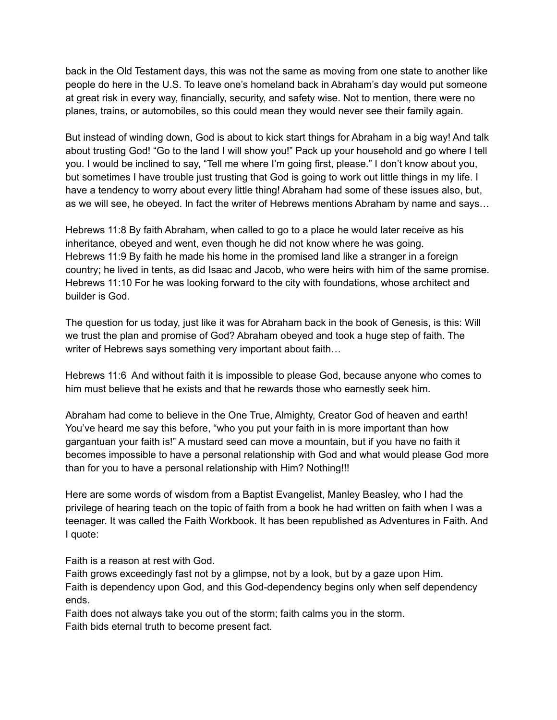back in the Old Testament days, this was not the same as moving from one state to another like people do here in the U.S. To leave one's homeland back in Abraham's day would put someone at great risk in every way, financially, security, and safety wise. Not to mention, there were no planes, trains, or automobiles, so this could mean they would never see their family again.

But instead of winding down, God is about to kick start things for Abraham in a big way! And talk about trusting God! "Go to the land I will show you!" Pack up your household and go where I tell you. I would be inclined to say, "Tell me where I'm going first, please." I don't know about you, but sometimes I have trouble just trusting that God is going to work out little things in my life. I have a tendency to worry about every little thing! Abraham had some of these issues also, but, as we will see, he obeyed. In fact the writer of Hebrews mentions Abraham by name and says…

Hebrews 11:8 By faith Abraham, when called to go to a place he would later receive as his inheritance, obeyed and went, even though he did not know where he was going. Hebrews 11:9 By faith he made his home in the promised land like a stranger in a foreign country; he lived in tents, as did Isaac and Jacob, who were heirs with him of the same promise. Hebrews 11:10 For he was looking forward to the city with foundations, whose architect and builder is God.

The question for us today, just like it was for Abraham back in the book of Genesis, is this: Will we trust the plan and promise of God? Abraham obeyed and took a huge step of faith. The writer of Hebrews says something very important about faith…

Hebrews 11:6 And without faith it is impossible to please God, because anyone who comes to him must believe that he exists and that he rewards those who earnestly seek him.

Abraham had come to believe in the One True, Almighty, Creator God of heaven and earth! You've heard me say this before, "who you put your faith in is more important than how gargantuan your faith is!" A mustard seed can move a mountain, but if you have no faith it becomes impossible to have a personal relationship with God and what would please God more than for you to have a personal relationship with Him? Nothing!!!

Here are some words of wisdom from a Baptist Evangelist, Manley Beasley, who I had the privilege of hearing teach on the topic of faith from a book he had written on faith when I was a teenager. It was called the Faith Workbook. It has been republished as Adventures in Faith. And I quote:

Faith is a reason at rest with God.

Faith grows exceedingly fast not by a glimpse, not by a look, but by a gaze upon Him. Faith is dependency upon God, and this God-dependency begins only when self dependency ends.

Faith does not always take you out of the storm; faith calms you in the storm. Faith bids eternal truth to become present fact.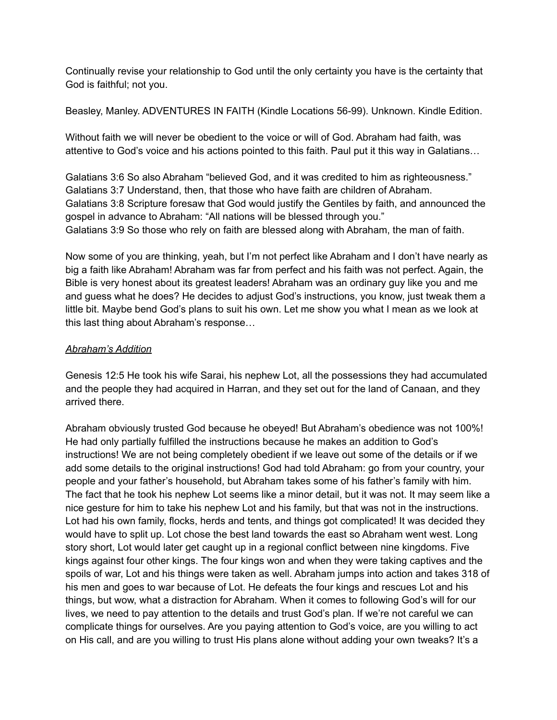Continually revise your relationship to God until the only certainty you have is the certainty that God is faithful; not you.

Beasley, Manley. ADVENTURES IN FAITH (Kindle Locations 56-99). Unknown. Kindle Edition.

Without faith we will never be obedient to the voice or will of God. Abraham had faith, was attentive to God's voice and his actions pointed to this faith. Paul put it this way in Galatians…

Galatians 3:6 So also Abraham "believed God, and it was credited to him as righteousness." Galatians 3:7 Understand, then, that those who have faith are children of Abraham. Galatians 3:8 Scripture foresaw that God would justify the Gentiles by faith, and announced the gospel in advance to Abraham: "All nations will be blessed through you." Galatians 3:9 So those who rely on faith are blessed along with Abraham, the man of faith.

Now some of you are thinking, yeah, but I'm not perfect like Abraham and I don't have nearly as big a faith like Abraham! Abraham was far from perfect and his faith was not perfect. Again, the Bible is very honest about its greatest leaders! Abraham was an ordinary guy like you and me and guess what he does? He decides to adjust God's instructions, you know, just tweak them a little bit. Maybe bend God's plans to suit his own. Let me show you what I mean as we look at this last thing about Abraham's response…

## *Abraham's Addition*

Genesis 12:5 He took his wife Sarai, his nephew Lot, all the possessions they had accumulated and the people they had acquired in Harran, and they set out for the land of Canaan, and they arrived there.

Abraham obviously trusted God because he obeyed! But Abraham's obedience was not 100%! He had only partially fulfilled the instructions because he makes an addition to God's instructions! We are not being completely obedient if we leave out some of the details or if we add some details to the original instructions! God had told Abraham: go from your country, your people and your father's household, but Abraham takes some of his father's family with him. The fact that he took his nephew Lot seems like a minor detail, but it was not. It may seem like a nice gesture for him to take his nephew Lot and his family, but that was not in the instructions. Lot had his own family, flocks, herds and tents, and things got complicated! It was decided they would have to split up. Lot chose the best land towards the east so Abraham went west. Long story short, Lot would later get caught up in a regional conflict between nine kingdoms. Five kings against four other kings. The four kings won and when they were taking captives and the spoils of war, Lot and his things were taken as well. Abraham jumps into action and takes 318 of his men and goes to war because of Lot. He defeats the four kings and rescues Lot and his things, but wow, what a distraction for Abraham. When it comes to following God's will for our lives, we need to pay attention to the details and trust God's plan. If we're not careful we can complicate things for ourselves. Are you paying attention to God's voice, are you willing to act on His call, and are you willing to trust His plans alone without adding your own tweaks? It's a